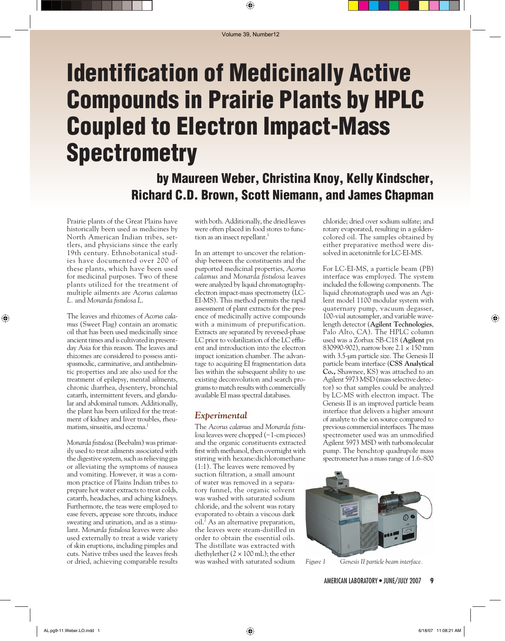# **Identification of Medicinally Active Compounds in Prairie Plants by HPLC Coupled to Electron Impact-Mass Spectrometry**

# **by Maureen Weber, Christina Knoy, Kelly Kindscher, Richard C.D. Brown, Scott Niemann, and James Chapman**

Prairie plants of the Great Plains have historically been used as medicines by North American Indian tribes, settlers, and physicians since the early 19th century. Ethnobotanical studies have documented over 200 of these plants, which have been used for medicinal purposes. Two of these plants utilized for the treatment of multiple ailments are *Acorus calamus L.* and *Monarda* fistulosa *L.* 

The leaves and rhizomes of *Acorus calamus* (Sweet Flag) contain an aromatic oil that has been used medicinally since ancient times and is cultivated in presentday Asia for this reason. The leaves and rhizomes are considered to possess antispasmodic, carminative, and antihelmintic properties and are also used for the treatment of epilepsy, mental ailments, chronic diarrhea, dysentery, bronchial catarrh, intermittent fevers, and glandular and abdominal tumors. Additionally, the plant has been utilized for the treatment of kidney and liver troubles, rheumatism, sinusitis, and eczema.<sup>1</sup>

*Monarda fi stulosa* (Beebalm) was primarily used to treat ailments associated with the digestive system, such as relieving gas or alleviating the symptoms of nausea and vomiting. However, it was a common practice of Plains Indian tribes to prepare hot water extracts to treat colds, catarrh, headaches, and aching kidneys. Furthermore, the teas were employed to ease fevers, appease sore throats, induce sweating and urination, and as a stimulant. *Monarda fistulosa* leaves were also used externally to treat a wide variety of skin eruptions, including pimples and cuts. Native tribes used the leaves fresh or dried, achieving comparable results with both. Additionally, the dried leaves were often placed in food stores to function as an insect repellant.<sup>1</sup>

In an attempt to uncover the relationship between the constituents and the purported medicinal properties, *Acorus calamus* and *Monarda fistulosa* leaves were analyzed by liquid chromatography electron impact-mass spectrometry (LC-EI-MS). This method permits the rapid assessment of plant extracts for the presence of medicinally active compounds with a minimum of prepurification. Extracts are separated by reversed-phase LC prior to volatilization of the LC effluent and introduction into the electron impact ionization chamber. The advantage to acquiring EI fragmentation data lies within the subsequent ability to use existing deconvolution and search programs to match results with commercially available EI mass spectral databases.

#### *Experimental*

The *Acorus calamus* and *Monarda fistulosa* leaves were chopped (~1-cm pieces) and the organic constituents extracted first with methanol, then overnight with stirring with hexane:dichloromethane (1:1). The leaves were removed by suction filtration, a small amount of water was removed in a separatory funnel, the organic solvent was washed with saturated sodium chloride, and the solvent was rotary evaporated to obtain a viscous dark oil.2 As an alternative preparation, the leaves were steam-distilled in order to obtain the essential oils. The distillate was extracted with diethylether  $(2 \times 100 \text{ mL})$ ; the ether was washed with saturated sodium

chloride; dried over sodium sulfate; and rotary evaporated, resulting in a goldencolored oil. The samples obtained by either preparative method were dissolved in acetonitrile for LC-EI-MS.

For LC-EI-MS, a particle beam (PB) interface was employed. The system included the following components. The liquid chromatograph used was an Agilent model 1100 modular system with quaternary pump, vacuum degasser, 100-vial autosampler, and variable wavelength detector (**Agilent Technologies**, Palo Alto, CA). The HPLC column used was a Zorbax SB-C18 (**Agilent** pn 830990-902), narrow bore 2.1 × 150 mm with 3.5-µm particle size. The Genesis II particle beam interface (**CSS Analytical Co.,** Shawnee, KS) was attached to an Agilent 5973 MSD (mass selective detector) so that samples could be analyzed by LC-MS with electron impact. The Genesis II is an improved particle beam interface that delivers a higher amount of analyte to the ion source compared to previous commercial interfaces. The mass spectrometer used was an unmodified Agilent 5973 MSD with turbomolecular pump. The benchtop quadrupole mass spectrometer has a mass range of 1.6–800



*Figure 1 Genesis II particle beam interface.*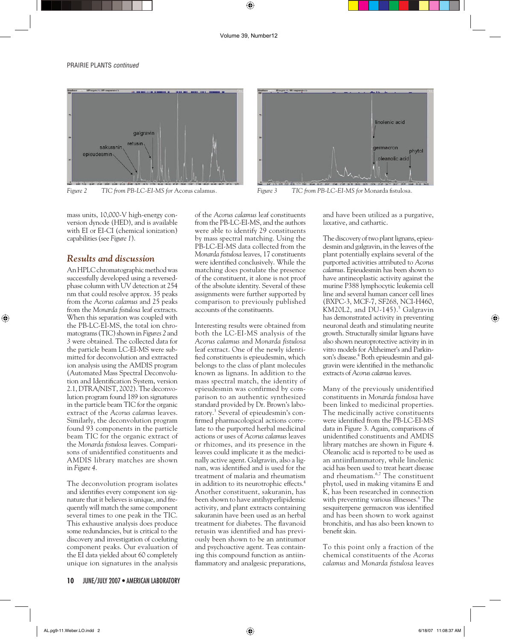

*Figure 2* TIC from PB-LC-EI-MS for Acorus calamus. Figure 3 TIC from PB-LC-EI-MS for Monarda fistulosa.



mass units, 10,000-V high-energy conversion dynode (HED), and is available with EI or EI-CI (chemical ionization) capabilities (see *Figure 1*).

### *Results and discussion*

An HPLC chromatographic method was successfully developed using a reversedphase column with UV detection at 254 nm that could resolve approx. 35 peaks from the *Acorus calamus* and 25 peaks from the *Monarda fistulosa* leaf extracts. When this separation was coupled with the PB-LC-EI-MS, the total ion chromatograms (TIC) shown in *Figures 2* and *3* were obtained. The collected data for the particle beam LC-EI-MS were submitted for deconvolution and extracted ion analysis using the AMDIS program (Automated Mass Spectral Deconvolution and Identification System, version 2.1, DTRA/NIST, 2002). The deconvolution program found 189 ion signatures in the particle beam TIC for the organic extract of the *Acorus calamus* leaves. Similarly, the deconvolution program found 93 components in the particle beam TIC for the organic extract of the *Monarda fi stulosa* leaves. Comparisons of unidentified constituents and AMDIS library matches are shown in *Figure 4*.

The deconvolution program isolates and identifies every component ion signature that it believes is unique, and frequently will match the same component several times to one peak in the TIC. This exhaustive analysis does produce some redundancies, but is critical to the discovery and investigation of coeluting component peaks. Our evaluation of the EI data yielded about 60 completely unique ion signatures in the analysis of the *Acorus calamus* leaf constituents from the PB-LC-EI-MS, and the authors were able to identify 29 constituents by mass spectral matching. Using the PB-LC-EI-MS data collected from the *Monarda fi stulosa* leaves, 17 constituents were identified conclusively. While the matching does postulate the presence of the constituent, it alone is not proof of the absolute identity. Several of these assignments were further supported by comparison to previously published accounts of the constituents.

Interesting results were obtained from both the LC-EI-MS analysis of the *Acorus calamus* and *Monarda fistulosa* leaf extract. One of the newly identified constituents is epieudesmin, which belongs to the class of plant molecules known as lignans. In addition to the mass spectral match, the identity of epieudesmin was confirmed by comparison to an authentic synthesized standard provided by Dr. Brown's laboratory.3 Several of epieudesmin's confirmed pharmacological actions correlate to the purported herbal medicinal actions or uses of *Acorus calamus* leaves or rhizomes, and its presence in the leaves could implicate it as the medicinally active agent. Galgravin, also a lignan, was identified and is used for the treatment of malaria and rheumatism in addition to its neurotrophic effects.<sup>4</sup> Another constituent, sakuranin, has been shown to have antihyperlipidemic activity, and plant extracts containing sakuranin have been used as an herbal treatment for diabetes. The flavanoid retusin was identified and has previously been shown to be an antitumor and psychoactive agent. Teas containing this compound function as antiinflammatory and analgesic preparations, and have been utilized as a purgative, laxative, and cathartic.

The discovery of two plant lignans, epieudesmin and galgravin, in the leaves of the plant potentially explains several of the purported activities attributed to *Acorus calamus*. Epieudesmin has been shown to have antineoplastic activity against the murine P388 lymphocytic leukemia cell line and several human cancer cell lines (BXPC-3, MCF-7, SF268, NCI-H460, KM20L2, and  $DU-145$ ).<sup>5</sup> Galgravin has demonstrated activity in preventing neuronal death and stimulating neurite growth. Structurally similar lignans have also shown neuroprotective activity in in vitro models for Alzheimer's and Parkinson's disease.<sup>4</sup> Both epieudesmin and galgravin were identified in the methanolic extracts of *Acorus calamus* leaves.

Many of the previously unidentified constituents in *Monarda fistulosa* have been linked to medicinal properties. The medicinally active constituents were identified from the PB-LC-EI-MS data in Figure 3. Again, comparisons of unidentified constituents and AMDIS library matches are shown in Figure 4. Oleanolic acid is reported to be used as an antiinflammatory, while linolenic acid has been used to treat heart disease and rheumatism.6,7 The constituent phytol, used in making vitamins E and K, has been researched in connection with preventing various illnesses.<sup>8</sup> The sesquiterpene germacron was identified and has been shown to work against bronchitis, and has also been known to benefit skin.

To this point only a fraction of the chemical constituents of the *Acorus calamus* and *Monarda fi stulosa* leaves